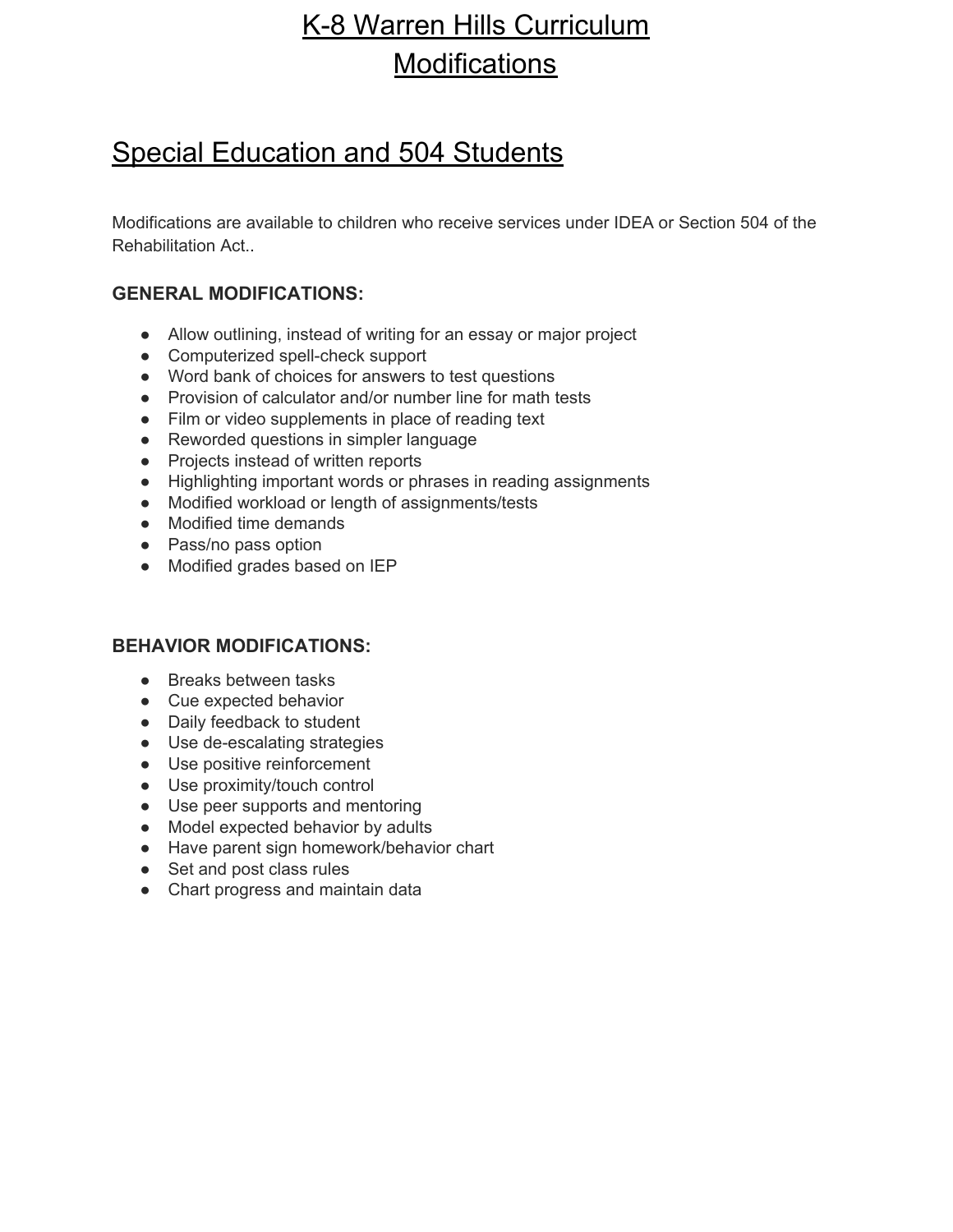## K-8 Warren Hills Curriculum **Modifications**

#### Special Education and 504 Students

Modifications are available to children who receive services under IDEA or Section 504 of the Rehabilitation Act..

#### **GENERAL MODIFICATIONS:**

- Allow outlining, instead of writing for an essay or major project
- Computerized spell-check support
- Word bank of choices for answers to test questions
- Provision of calculator and/or number line for math tests
- Film or video supplements in place of reading text
- Reworded questions in simpler language
- Projects instead of written reports
- Highlighting important words or phrases in reading assignments
- Modified workload or length of assignments/tests
- Modified time demands
- Pass/no pass option
- Modified grades based on IEP

#### **BEHAVIOR MODIFICATIONS:**

- Breaks between tasks
- Cue expected behavior
- Daily feedback to student
- Use de-escalating strategies
- Use positive reinforcement
- Use proximity/touch control
- Use peer supports and mentoring
- Model expected behavior by adults
- Have parent sign homework/behavior chart
- Set and post class rules
- Chart progress and maintain data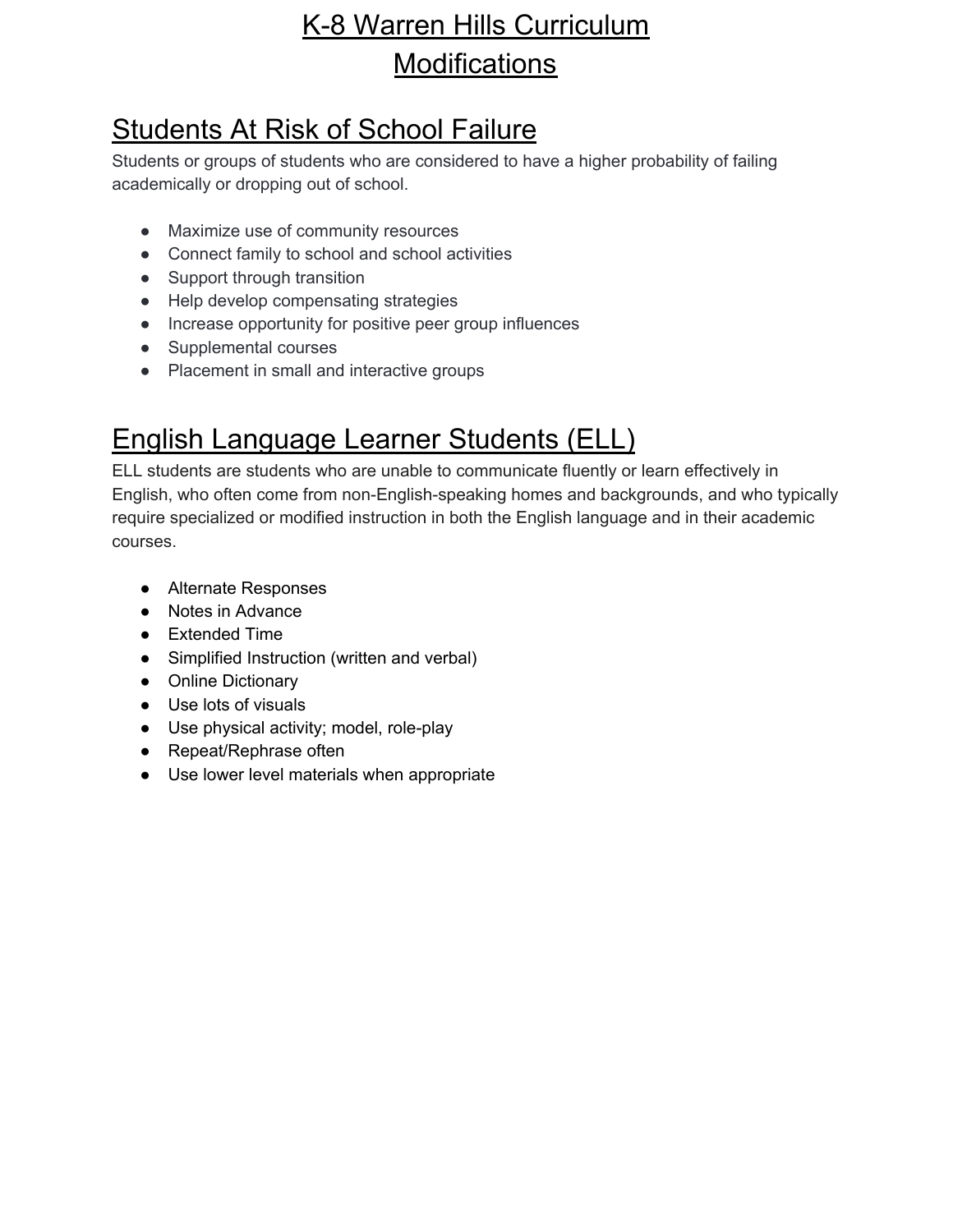# K-8 Warren Hills Curriculum **Modifications**

# Students At Risk of School Failure

Students or groups of students who are considered to have a higher probability of failing academically or dropping out of school.

- Maximize use of community resources
- Connect family to school and school activities
- Support through transition
- Help develop compensating strategies
- Increase opportunity for positive peer group influences
- Supplemental courses
- Placement in small and interactive groups

## English Language Learner Students (ELL)

ELL students are students who are unable to communicate fluently or learn effectively in English, who often come from non-English-speaking homes and backgrounds, and who typically require specialized or modified instruction in both the English language and in their academic courses.

- Alternate Responses
- Notes in Advance
- Extended Time
- Simplified Instruction (written and verbal)
- Online Dictionary
- Use lots of visuals
- Use physical activity; model, role-play
- Repeat/Rephrase often
- Use lower level materials when appropriate